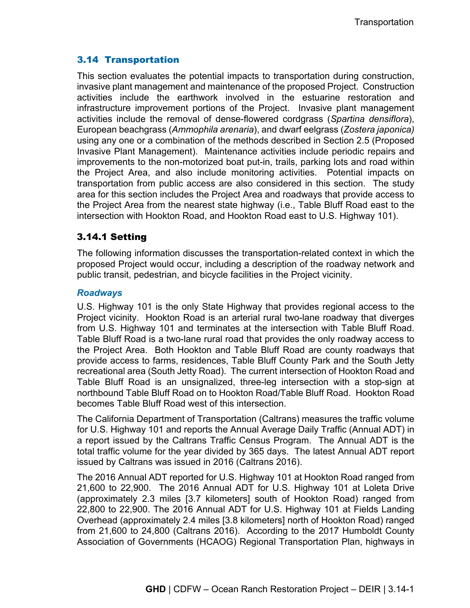# 3.14 Transportation

This section evaluates the potential impacts to transportation during construction, invasive plant management and maintenance of the proposed Project. Construction activities include the earthwork involved in the estuarine restoration and infrastructure improvement portions of the Project. Invasive plant management activities include the removal of dense-flowered cordgrass (*Spartina densiflora*), European beachgrass (*Ammophila arenaria*), and dwarf eelgrass (*Zostera japonica)* using any one or a combination of the methods described in Section 2.5 (Proposed Invasive Plant Management). Maintenance activities include periodic repairs and improvements to the non-motorized boat put-in, trails, parking lots and road within the Project Area, and also include monitoring activities. Potential impacts on transportation from public access are also considered in this section. The study area for this section includes the Project Area and roadways that provide access to the Project Area from the nearest state highway (i.e., Table Bluff Road east to the intersection with Hookton Road, and Hookton Road east to U.S. Highway 101).

# 3.14.1 Setting

The following information discusses the transportation-related context in which the proposed Project would occur, including a description of the roadway network and public transit, pedestrian, and bicycle facilities in the Project vicinity.

## *Roadways*

U.S. Highway 101 is the only State Highway that provides regional access to the Project vicinity. Hookton Road is an arterial rural two-lane roadway that diverges from U.S. Highway 101 and terminates at the intersection with Table Bluff Road. Table Bluff Road is a two-lane rural road that provides the only roadway access to the Project Area. Both Hookton and Table Bluff Road are county roadways that provide access to farms, residences, Table Bluff County Park and the South Jetty recreational area (South Jetty Road). The current intersection of Hookton Road and Table Bluff Road is an unsignalized, three-leg intersection with a stop-sign at northbound Table Bluff Road on to Hookton Road/Table Bluff Road. Hookton Road becomes Table Bluff Road west of this intersection.

The California Department of Transportation (Caltrans) measures the traffic volume for U.S. Highway 101 and reports the Annual Average Daily Traffic (Annual ADT) in a report issued by the Caltrans Traffic Census Program. The Annual ADT is the total traffic volume for the year divided by 365 days. The latest Annual ADT report issued by Caltrans was issued in 2016 (Caltrans 2016).

The 2016 Annual ADT reported for U.S. Highway 101 at Hookton Road ranged from 21,600 to 22,900. The 2016 Annual ADT for U.S. Highway 101 at Loleta Drive (approximately 2.3 miles [3.7 kilometers] south of Hookton Road) ranged from 22,800 to 22,900. The 2016 Annual ADT for U.S. Highway 101 at Fields Landing Overhead (approximately 2.4 miles [3.8 kilometers] north of Hookton Road) ranged from 21,600 to 24,800 (Caltrans 2016). According to the 2017 Humboldt County Association of Governments (HCAOG) Regional Transportation Plan, highways in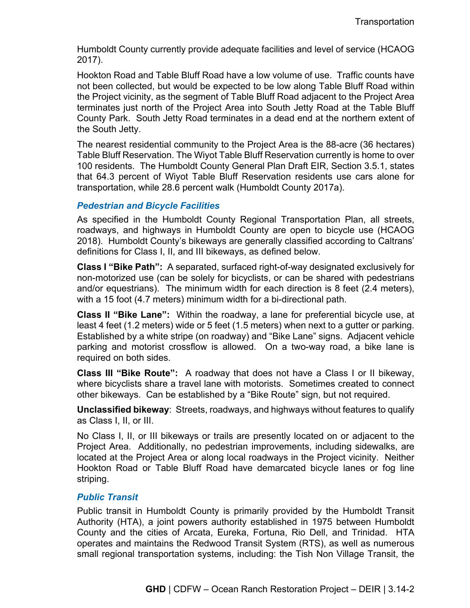Humboldt County currently provide adequate facilities and level of service (HCAOG 2017).

Hookton Road and Table Bluff Road have a low volume of use. Traffic counts have not been collected, but would be expected to be low along Table Bluff Road within the Project vicinity, as the segment of Table Bluff Road adjacent to the Project Area terminates just north of the Project Area into South Jetty Road at the Table Bluff County Park. South Jetty Road terminates in a dead end at the northern extent of the South Jetty.

The nearest residential community to the Project Area is the 88-acre (36 hectares) Table Bluff Reservation. The Wiyot Table Bluff Reservation currently is home to over 100 residents. The Humboldt County General Plan Draft EIR, Section 3.5.1, states that 64.3 percent of Wiyot Table Bluff Reservation residents use cars alone for transportation, while 28.6 percent walk (Humboldt County 2017a).

## *Pedestrian and Bicycle Facilities*

As specified in the Humboldt County Regional Transportation Plan, all streets, roadways, and highways in Humboldt County are open to bicycle use (HCAOG 2018). Humboldt County's bikeways are generally classified according to Caltrans' definitions for Class I, II, and III bikeways, as defined below.

**Class I "Bike Path":** A separated, surfaced right-of-way designated exclusively for non-motorized use (can be solely for bicyclists, or can be shared with pedestrians and/or equestrians). The minimum width for each direction is 8 feet (2.4 meters), with a 15 foot (4.7 meters) minimum width for a bi-directional path.

**Class II "Bike Lane":** Within the roadway, a lane for preferential bicycle use, at least 4 feet (1.2 meters) wide or 5 feet (1.5 meters) when next to a gutter or parking. Established by a white stripe (on roadway) and "Bike Lane" signs. Adjacent vehicle parking and motorist crossflow is allowed. On a two-way road, a bike lane is required on both sides.

**Class III "Bike Route":** A roadway that does not have a Class I or II bikeway, where bicyclists share a travel lane with motorists. Sometimes created to connect other bikeways. Can be established by a "Bike Route" sign, but not required.

**Unclassified bikeway**: Streets, roadways, and highways without features to qualify as Class I, II, or III.

No Class I, II, or III bikeways or trails are presently located on or adjacent to the Project Area. Additionally, no pedestrian improvements, including sidewalks, are located at the Project Area or along local roadways in the Project vicinity. Neither Hookton Road or Table Bluff Road have demarcated bicycle lanes or fog line striping.

## *Public Transit*

Public transit in Humboldt County is primarily provided by the Humboldt Transit Authority (HTA), a joint powers authority established in 1975 between Humboldt County and the cities of Arcata, Eureka, Fortuna, Rio Dell, and Trinidad. HTA operates and maintains the Redwood Transit System (RTS), as well as numerous small regional transportation systems, including: the Tish Non Village Transit, the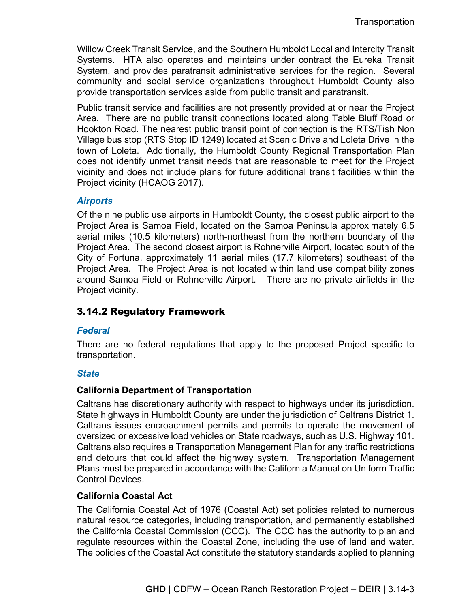Willow Creek Transit Service, and the Southern Humboldt Local and Intercity Transit Systems. HTA also operates and maintains under contract the Eureka Transit System, and provides paratransit administrative services for the region. Several community and social service organizations throughout Humboldt County also provide transportation services aside from public transit and paratransit.

Public transit service and facilities are not presently provided at or near the Project Area. There are no public transit connections located along Table Bluff Road or Hookton Road. The nearest public transit point of connection is the RTS/Tish Non Village bus stop (RTS Stop ID 1249) located at Scenic Drive and Loleta Drive in the town of Loleta. Additionally, the Humboldt County Regional Transportation Plan does not identify unmet transit needs that are reasonable to meet for the Project vicinity and does not include plans for future additional transit facilities within the Project vicinity (HCAOG 2017).

### *Airports*

Of the nine public use airports in Humboldt County, the closest public airport to the Project Area is Samoa Field, located on the Samoa Peninsula approximately 6.5 aerial miles (10.5 kilometers) north-northeast from the northern boundary of the Project Area. The second closest airport is Rohnerville Airport, located south of the City of Fortuna, approximately 11 aerial miles (17.7 kilometers) southeast of the Project Area. The Project Area is not located within land use compatibility zones around Samoa Field or Rohnerville Airport. There are no private airfields in the Project vicinity.

# 3.14.2 Regulatory Framework

## *Federal*

There are no federal regulations that apply to the proposed Project specific to transportation.

## *State*

## **California Department of Transportation**

Caltrans has discretionary authority with respect to highways under its jurisdiction. State highways in Humboldt County are under the jurisdiction of Caltrans District 1. Caltrans issues encroachment permits and permits to operate the movement of oversized or excessive load vehicles on State roadways, such as U.S. Highway 101. Caltrans also requires a Transportation Management Plan for any traffic restrictions and detours that could affect the highway system. Transportation Management Plans must be prepared in accordance with the California Manual on Uniform Traffic Control Devices.

## **California Coastal Act**

The California Coastal Act of 1976 (Coastal Act) set policies related to numerous natural resource categories, including transportation, and permanently established the California Coastal Commission (CCC). The CCC has the authority to plan and regulate resources within the Coastal Zone, including the use of land and water. The policies of the Coastal Act constitute the statutory standards applied to planning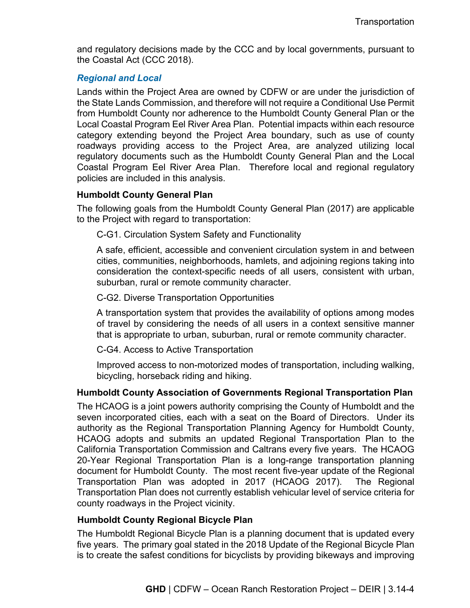and regulatory decisions made by the CCC and by local governments, pursuant to the Coastal Act (CCC 2018).

## *Regional and Local*

Lands within the Project Area are owned by CDFW or are under the jurisdiction of the State Lands Commission, and therefore will not require a Conditional Use Permit from Humboldt County nor adherence to the Humboldt County General Plan or the Local Coastal Program Eel River Area Plan. Potential impacts within each resource category extending beyond the Project Area boundary, such as use of county roadways providing access to the Project Area, are analyzed utilizing local regulatory documents such as the Humboldt County General Plan and the Local Coastal Program Eel River Area Plan. Therefore local and regional regulatory policies are included in this analysis.

### **Humboldt County General Plan**

The following goals from the Humboldt County General Plan (2017) are applicable to the Project with regard to transportation:

C-G1. Circulation System Safety and Functionality

A safe, efficient, accessible and convenient circulation system in and between cities, communities, neighborhoods, hamlets, and adjoining regions taking into consideration the context-specific needs of all users, consistent with urban, suburban, rural or remote community character.

C-G2. Diverse Transportation Opportunities

A transportation system that provides the availability of options among modes of travel by considering the needs of all users in a context sensitive manner that is appropriate to urban, suburban, rural or remote community character.

C-G4. Access to Active Transportation

Improved access to non-motorized modes of transportation, including walking, bicycling, horseback riding and hiking.

## **Humboldt County Association of Governments Regional Transportation Plan**

The HCAOG is a joint powers authority comprising the County of Humboldt and the seven incorporated cities, each with a seat on the Board of Directors. Under its authority as the Regional Transportation Planning Agency for Humboldt County, HCAOG adopts and submits an updated Regional Transportation Plan to the California Transportation Commission and Caltrans every five years. The HCAOG 20-Year Regional Transportation Plan is a long-range transportation planning document for Humboldt County. The most recent five-year update of the Regional Transportation Plan was adopted in 2017 (HCAOG 2017). The Regional Transportation Plan does not currently establish vehicular level of service criteria for county roadways in the Project vicinity.

#### **Humboldt County Regional Bicycle Plan**

The Humboldt Regional Bicycle Plan is a planning document that is updated every five years. The primary goal stated in the 2018 Update of the Regional Bicycle Plan is to create the safest conditions for bicyclists by providing bikeways and improving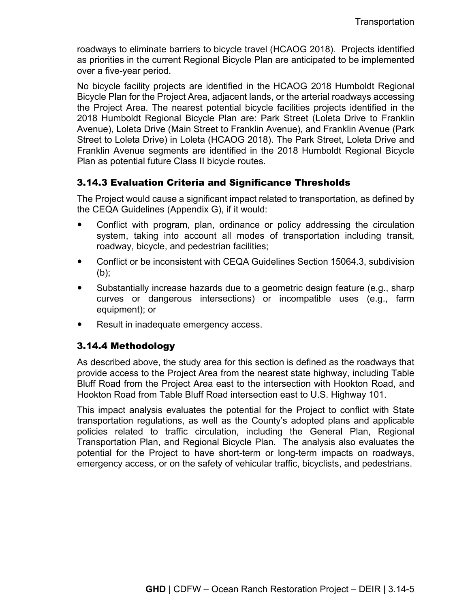roadways to eliminate barriers to bicycle travel (HCAOG 2018). Projects identified as priorities in the current Regional Bicycle Plan are anticipated to be implemented over a five-year period.

No bicycle facility projects are identified in the HCAOG 2018 Humboldt Regional Bicycle Plan for the Project Area, adjacent lands, or the arterial roadways accessing the Project Area. The nearest potential bicycle facilities projects identified in the 2018 Humboldt Regional Bicycle Plan are: Park Street (Loleta Drive to Franklin Avenue), Loleta Drive (Main Street to Franklin Avenue), and Franklin Avenue (Park Street to Loleta Drive) in Loleta (HCAOG 2018). The Park Street, Loleta Drive and Franklin Avenue segments are identified in the 2018 Humboldt Regional Bicycle Plan as potential future Class II bicycle routes.

# 3.14.3 Evaluation Criteria and Significance Thresholds

The Project would cause a significant impact related to transportation, as defined by the CEQA Guidelines (Appendix G), if it would:

- Conflict with program, plan, ordinance or policy addressing the circulation system, taking into account all modes of transportation including transit, roadway, bicycle, and pedestrian facilities;
- Conflict or be inconsistent with CEQA Guidelines Section 15064.3, subdivision (b);
- Substantially increase hazards due to a geometric design feature (e.g., sharp curves or dangerous intersections) or incompatible uses (e.g., farm equipment); or
- Result in inadequate emergency access.

# 3.14.4 Methodology

As described above, the study area for this section is defined as the roadways that provide access to the Project Area from the nearest state highway, including Table Bluff Road from the Project Area east to the intersection with Hookton Road, and Hookton Road from Table Bluff Road intersection east to U.S. Highway 101.

This impact analysis evaluates the potential for the Project to conflict with State transportation regulations, as well as the County's adopted plans and applicable policies related to traffic circulation, including the General Plan, Regional Transportation Plan, and Regional Bicycle Plan. The analysis also evaluates the potential for the Project to have short-term or long-term impacts on roadways, emergency access, or on the safety of vehicular traffic, bicyclists, and pedestrians.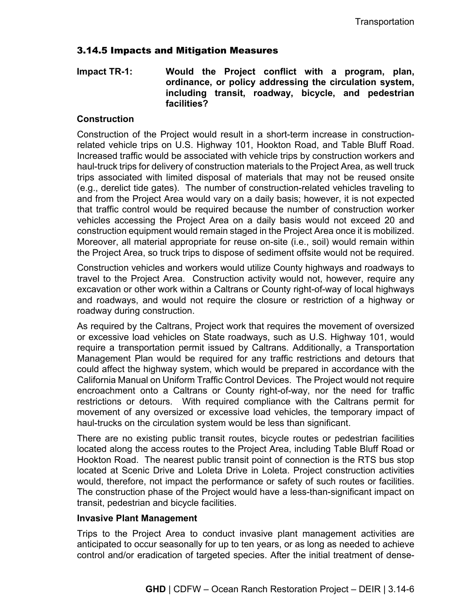# 3.14.5 Impacts and Mitigation Measures

## **Impact TR-1: Would the Project conflict with a program, plan, ordinance, or policy addressing the circulation system, including transit, roadway, bicycle, and pedestrian facilities?**

## **Construction**

Construction of the Project would result in a short-term increase in constructionrelated vehicle trips on U.S. Highway 101, Hookton Road, and Table Bluff Road. Increased traffic would be associated with vehicle trips by construction workers and haul-truck trips for delivery of construction materials to the Project Area, as well truck trips associated with limited disposal of materials that may not be reused onsite (e.g., derelict tide gates). The number of construction-related vehicles traveling to and from the Project Area would vary on a daily basis; however, it is not expected that traffic control would be required because the number of construction worker vehicles accessing the Project Area on a daily basis would not exceed 20 and construction equipment would remain staged in the Project Area once it is mobilized. Moreover, all material appropriate for reuse on-site (i.e., soil) would remain within the Project Area, so truck trips to dispose of sediment offsite would not be required.

Construction vehicles and workers would utilize County highways and roadways to travel to the Project Area. Construction activity would not, however, require any excavation or other work within a Caltrans or County right-of-way of local highways and roadways, and would not require the closure or restriction of a highway or roadway during construction.

As required by the Caltrans, Project work that requires the movement of oversized or excessive load vehicles on State roadways, such as U.S. Highway 101, would require a transportation permit issued by Caltrans. Additionally, a Transportation Management Plan would be required for any traffic restrictions and detours that could affect the highway system, which would be prepared in accordance with the California Manual on Uniform Traffic Control Devices. The Project would not require encroachment onto a Caltrans or County right-of-way, nor the need for traffic restrictions or detours. With required compliance with the Caltrans permit for movement of any oversized or excessive load vehicles, the temporary impact of haul-trucks on the circulation system would be less than significant.

There are no existing public transit routes, bicycle routes or pedestrian facilities located along the access routes to the Project Area, including Table Bluff Road or Hookton Road. The nearest public transit point of connection is the RTS bus stop located at Scenic Drive and Loleta Drive in Loleta. Project construction activities would, therefore, not impact the performance or safety of such routes or facilities. The construction phase of the Project would have a less-than-significant impact on transit, pedestrian and bicycle facilities.

#### **Invasive Plant Management**

Trips to the Project Area to conduct invasive plant management activities are anticipated to occur seasonally for up to ten years, or as long as needed to achieve control and/or eradication of targeted species. After the initial treatment of dense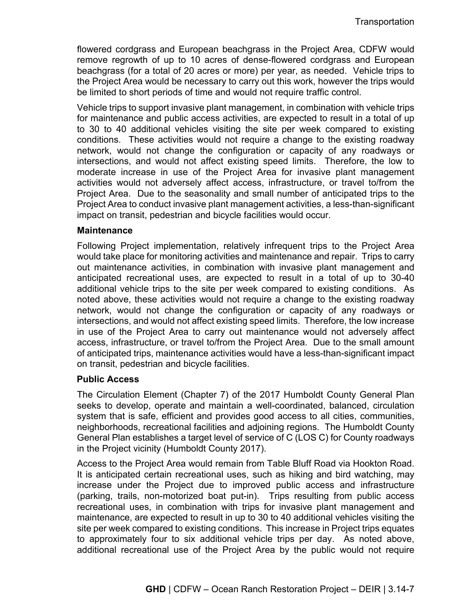flowered cordgrass and European beachgrass in the Project Area, CDFW would remove regrowth of up to 10 acres of dense-flowered cordgrass and European beachgrass (for a total of 20 acres or more) per year, as needed. Vehicle trips to the Project Area would be necessary to carry out this work, however the trips would be limited to short periods of time and would not require traffic control.

Vehicle trips to support invasive plant management, in combination with vehicle trips for maintenance and public access activities, are expected to result in a total of up to 30 to 40 additional vehicles visiting the site per week compared to existing conditions. These activities would not require a change to the existing roadway network, would not change the configuration or capacity of any roadways or intersections, and would not affect existing speed limits. Therefore, the low to moderate increase in use of the Project Area for invasive plant management activities would not adversely affect access, infrastructure, or travel to/from the Project Area. Due to the seasonality and small number of anticipated trips to the Project Area to conduct invasive plant management activities, a less-than-significant impact on transit, pedestrian and bicycle facilities would occur.

#### **Maintenance**

Following Project implementation, relatively infrequent trips to the Project Area would take place for monitoring activities and maintenance and repair. Trips to carry out maintenance activities, in combination with invasive plant management and anticipated recreational uses, are expected to result in a total of up to 30-40 additional vehicle trips to the site per week compared to existing conditions. As noted above, these activities would not require a change to the existing roadway network, would not change the configuration or capacity of any roadways or intersections, and would not affect existing speed limits. Therefore, the low increase in use of the Project Area to carry out maintenance would not adversely affect access, infrastructure, or travel to/from the Project Area. Due to the small amount of anticipated trips, maintenance activities would have a less-than-significant impact on transit, pedestrian and bicycle facilities.

#### **Public Access**

The Circulation Element (Chapter 7) of the 2017 Humboldt County General Plan seeks to develop, operate and maintain a well-coordinated, balanced, circulation system that is safe, efficient and provides good access to all cities, communities, neighborhoods, recreational facilities and adjoining regions. The Humboldt County General Plan establishes a target level of service of C (LOS C) for County roadways in the Project vicinity (Humboldt County 2017).

Access to the Project Area would remain from Table Bluff Road via Hookton Road. It is anticipated certain recreational uses, such as hiking and bird watching, may increase under the Project due to improved public access and infrastructure (parking, trails, non-motorized boat put-in). Trips resulting from public access recreational uses, in combination with trips for invasive plant management and maintenance, are expected to result in up to 30 to 40 additional vehicles visiting the site per week compared to existing conditions. This increase in Project trips equates to approximately four to six additional vehicle trips per day. As noted above, additional recreational use of the Project Area by the public would not require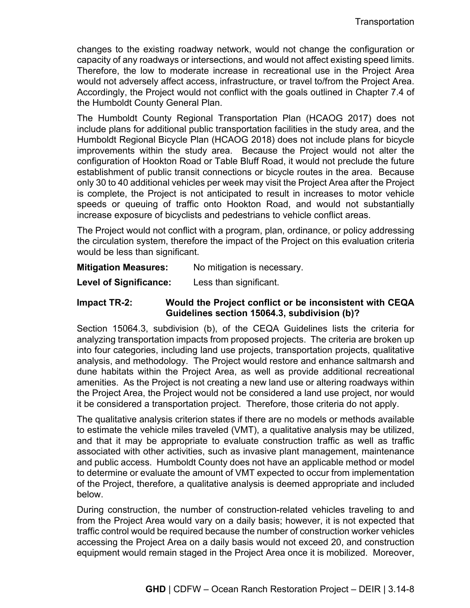changes to the existing roadway network, would not change the configuration or capacity of any roadways or intersections, and would not affect existing speed limits. Therefore, the low to moderate increase in recreational use in the Project Area would not adversely affect access, infrastructure, or travel to/from the Project Area. Accordingly, the Project would not conflict with the goals outlined in Chapter 7.4 of the Humboldt County General Plan.

The Humboldt County Regional Transportation Plan (HCAOG 2017) does not include plans for additional public transportation facilities in the study area, and the Humboldt Regional Bicycle Plan (HCAOG 2018) does not include plans for bicycle improvements within the study area. Because the Project would not alter the configuration of Hookton Road or Table Bluff Road, it would not preclude the future establishment of public transit connections or bicycle routes in the area. Because only 30 to 40 additional vehicles per week may visit the Project Area after the Project is complete, the Project is not anticipated to result in increases to motor vehicle speeds or queuing of traffic onto Hookton Road, and would not substantially increase exposure of bicyclists and pedestrians to vehicle conflict areas.

The Project would not conflict with a program, plan, ordinance, or policy addressing the circulation system, therefore the impact of the Project on this evaluation criteria would be less than significant.

#### **Mitigation Measures:** No mitigation is necessary.

**Level of Significance:** Less than significant.

## **Impact TR-2: Would the Project conflict or be inconsistent with CEQA Guidelines section 15064.3, subdivision (b)?**

Section 15064.3, subdivision (b), of the CEQA Guidelines lists the criteria for analyzing transportation impacts from proposed projects. The criteria are broken up into four categories, including land use projects, transportation projects, qualitative analysis, and methodology. The Project would restore and enhance saltmarsh and dune habitats within the Project Area, as well as provide additional recreational amenities. As the Project is not creating a new land use or altering roadways within the Project Area, the Project would not be considered a land use project, nor would it be considered a transportation project. Therefore, those criteria do not apply.

The qualitative analysis criterion states if there are no models or methods available to estimate the vehicle miles traveled (VMT), a qualitative analysis may be utilized, and that it may be appropriate to evaluate construction traffic as well as traffic associated with other activities, such as invasive plant management, maintenance and public access. Humboldt County does not have an applicable method or model to determine or evaluate the amount of VMT expected to occur from implementation of the Project, therefore, a qualitative analysis is deemed appropriate and included below.

During construction, the number of construction-related vehicles traveling to and from the Project Area would vary on a daily basis; however, it is not expected that traffic control would be required because the number of construction worker vehicles accessing the Project Area on a daily basis would not exceed 20, and construction equipment would remain staged in the Project Area once it is mobilized. Moreover,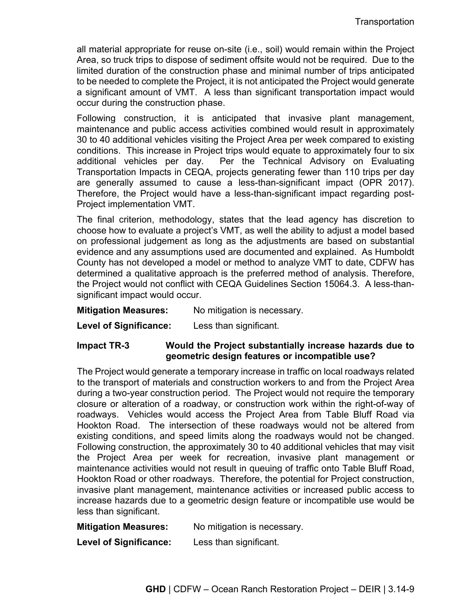all material appropriate for reuse on-site (i.e., soil) would remain within the Project Area, so truck trips to dispose of sediment offsite would not be required. Due to the limited duration of the construction phase and minimal number of trips anticipated to be needed to complete the Project, it is not anticipated the Project would generate a significant amount of VMT. A less than significant transportation impact would occur during the construction phase.

Following construction, it is anticipated that invasive plant management, maintenance and public access activities combined would result in approximately 30 to 40 additional vehicles visiting the Project Area per week compared to existing conditions. This increase in Project trips would equate to approximately four to six additional vehicles per day. Per the Technical Advisory on Evaluating Transportation Impacts in CEQA, projects generating fewer than 110 trips per day are generally assumed to cause a less-than-significant impact (OPR 2017). Therefore, the Project would have a less-than-significant impact regarding post-Project implementation VMT.

The final criterion, methodology, states that the lead agency has discretion to choose how to evaluate a project's VMT, as well the ability to adjust a model based on professional judgement as long as the adjustments are based on substantial evidence and any assumptions used are documented and explained. As Humboldt County has not developed a model or method to analyze VMT to date, CDFW has determined a qualitative approach is the preferred method of analysis. Therefore, the Project would not conflict with CEQA Guidelines Section 15064.3. A less-thansignificant impact would occur.

**Mitigation Measures:** No mitigation is necessary.

**Level of Significance:** Less than significant.

**Impact TR-3 Would the Project substantially increase hazards due to geometric design features or incompatible use?**

The Project would generate a temporary increase in traffic on local roadways related to the transport of materials and construction workers to and from the Project Area during a two-year construction period. The Project would not require the temporary closure or alteration of a roadway, or construction work within the right-of-way of roadways. Vehicles would access the Project Area from Table Bluff Road via Hookton Road. The intersection of these roadways would not be altered from existing conditions, and speed limits along the roadways would not be changed. Following construction, the approximately 30 to 40 additional vehicles that may visit the Project Area per week for recreation, invasive plant management or maintenance activities would not result in queuing of traffic onto Table Bluff Road, Hookton Road or other roadways. Therefore, the potential for Project construction, invasive plant management, maintenance activities or increased public access to increase hazards due to a geometric design feature or incompatible use would be less than significant.

**Mitigation Measures:** No mitigation is necessary.

**Level of Significance:** Less than significant.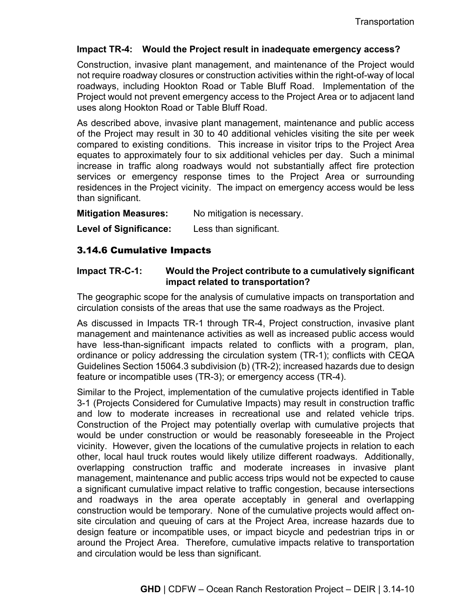## **Impact TR-4: Would the Project result in inadequate emergency access?**

Construction, invasive plant management, and maintenance of the Project would not require roadway closures or construction activities within the right-of-way of local roadways, including Hookton Road or Table Bluff Road. Implementation of the Project would not prevent emergency access to the Project Area or to adjacent land uses along Hookton Road or Table Bluff Road.

As described above, invasive plant management, maintenance and public access of the Project may result in 30 to 40 additional vehicles visiting the site per week compared to existing conditions. This increase in visitor trips to the Project Area equates to approximately four to six additional vehicles per day. Such a minimal increase in traffic along roadways would not substantially affect fire protection services or emergency response times to the Project Area or surrounding residences in the Project vicinity. The impact on emergency access would be less than significant.

**Mitigation Measures:** No mitigation is necessary.

**Level of Significance:** Less than significant.

## 3.14.6 Cumulative Impacts

## **Impact TR-C-1: Would the Project contribute to a cumulatively significant impact related to transportation?**

The geographic scope for the analysis of cumulative impacts on transportation and circulation consists of the areas that use the same roadways as the Project.

As discussed in Impacts TR-1 through TR-4, Project construction, invasive plant management and maintenance activities as well as increased public access would have less-than-significant impacts related to conflicts with a program, plan, ordinance or policy addressing the circulation system (TR-1); conflicts with CEQA Guidelines Section 15064.3 subdivision (b) (TR-2); increased hazards due to design feature or incompatible uses (TR-3); or emergency access (TR-4).

Similar to the Project, implementation of the cumulative projects identified in Table 3-1 (Projects Considered for Cumulative Impacts) may result in construction traffic and low to moderate increases in recreational use and related vehicle trips. Construction of the Project may potentially overlap with cumulative projects that would be under construction or would be reasonably foreseeable in the Project vicinity. However, given the locations of the cumulative projects in relation to each other, local haul truck routes would likely utilize different roadways. Additionally, overlapping construction traffic and moderate increases in invasive plant management, maintenance and public access trips would not be expected to cause a significant cumulative impact relative to traffic congestion, because intersections and roadways in the area operate acceptably in general and overlapping construction would be temporary. None of the cumulative projects would affect onsite circulation and queuing of cars at the Project Area, increase hazards due to design feature or incompatible uses, or impact bicycle and pedestrian trips in or around the Project Area. Therefore, cumulative impacts relative to transportation and circulation would be less than significant.